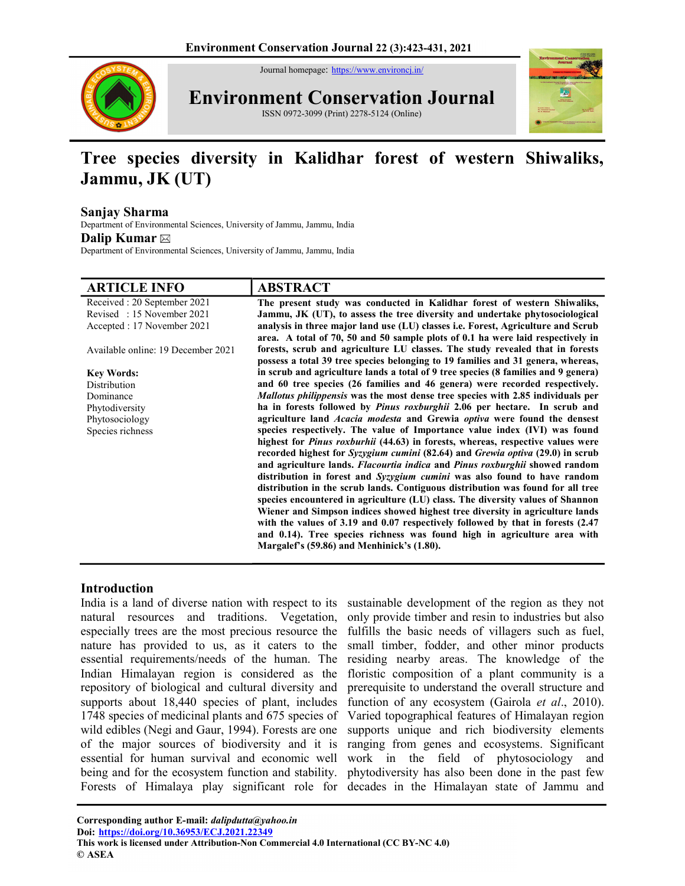Journal homepage: https://www.environcj.in/



Environment Conservation Journal

ISSN 0972-3099 (Print) 2278-5124 (Online)



# Tree species diversity in Kalidhar forest of western Shiwaliks, Jammu, JK (UT)

## Sanjay Sharma

Department of Environmental Sciences, University of Jammu, Jammu, India

**Dalip Kumar** ⊠

Department of Environmental Sciences, University of Jammu, Jammu, India

| <b>ARTICLE INFO</b>                | <b>ABSTRACT</b>                                                                                                                                                     |
|------------------------------------|---------------------------------------------------------------------------------------------------------------------------------------------------------------------|
| Received: 20 September 2021        | The present study was conducted in Kalidhar forest of western Shiwaliks,                                                                                            |
| Revised: 15 November 2021          | Jammu, JK (UT), to assess the tree diversity and undertake phytosociological                                                                                        |
| Accepted : 17 November 2021        | analysis in three major land use (LU) classes i.e. Forest, Agriculture and Scrub<br>area. A total of 70, 50 and 50 sample plots of 0.1 ha were laid respectively in |
| Available online: 19 December 2021 | forests, scrub and agriculture LU classes. The study revealed that in forests<br>possess a total 39 tree species belonging to 19 families and 31 genera, whereas,   |
| <b>Key Words:</b>                  | in scrub and agriculture lands a total of 9 tree species (8 families and 9 genera)                                                                                  |
| Distribution                       | and 60 tree species (26 families and 46 genera) were recorded respectively.                                                                                         |
| Dominance                          | <i>Mallotus philippensis</i> was the most dense tree species with 2.85 individuals per                                                                              |
| Phytodiversity                     | ha in forests followed by <i>Pinus roxburghii</i> 2.06 per hectare. In scrub and                                                                                    |
| Phytosociology                     | agriculture land Acacia modesta and Grewia optiva were found the densest                                                                                            |
| Species richness                   | species respectively. The value of Importance value index (IVI) was found                                                                                           |
|                                    | highest for <i>Pinus roxburhii</i> (44.63) in forests, whereas, respective values were                                                                              |
|                                    | recorded highest for <i>Syzygium cumini</i> (82.64) and <i>Grewia optiva</i> (29.0) in scrub                                                                        |
|                                    | and agriculture lands. Flacourtia indica and Pinus roxburghii showed random                                                                                         |
|                                    | distribution in forest and Syzygium cumini was also found to have random                                                                                            |
|                                    | distribution in the scrub lands. Contiguous distribution was found for all tree<br>species encountered in agriculture (LU) class. The diversity values of Shannon   |
|                                    | Wiener and Simpson indices showed highest tree diversity in agriculture lands                                                                                       |
|                                    | with the values of 3.19 and 0.07 respectively followed by that in forests (2.47                                                                                     |
|                                    | and 0.14). Tree species richness was found high in agriculture area with                                                                                            |
|                                    | Margalef's (59.86) and Menhinick's (1.80).                                                                                                                          |
|                                    |                                                                                                                                                                     |

## **Introduction**

India is a land of diverse nation with respect to its natural resources and traditions. Vegetation, especially trees are the most precious resource the nature has provided to us, as it caters to the essential requirements/needs of the human. The Indian Himalayan region is considered as the repository of biological and cultural diversity and supports about 18,440 species of plant, includes 1748 species of medicinal plants and 675 species of wild edibles (Negi and Gaur, 1994). Forests are one of the major sources of biodiversity and it is essential for human survival and economic well being and for the ecosystem function and stability.

Forests of Himalaya play significant role for decades in the Himalayan state of Jammu and sustainable development of the region as they not only provide timber and resin to industries but also fulfills the basic needs of villagers such as fuel, small timber, fodder, and other minor products residing nearby areas. The knowledge of the floristic composition of a plant community is a prerequisite to understand the overall structure and function of any ecosystem (Gairola et al., 2010). Varied topographical features of Himalayan region supports unique and rich biodiversity elements ranging from genes and ecosystems. Significant work in the field of phytosociology and phytodiversity has also been done in the past few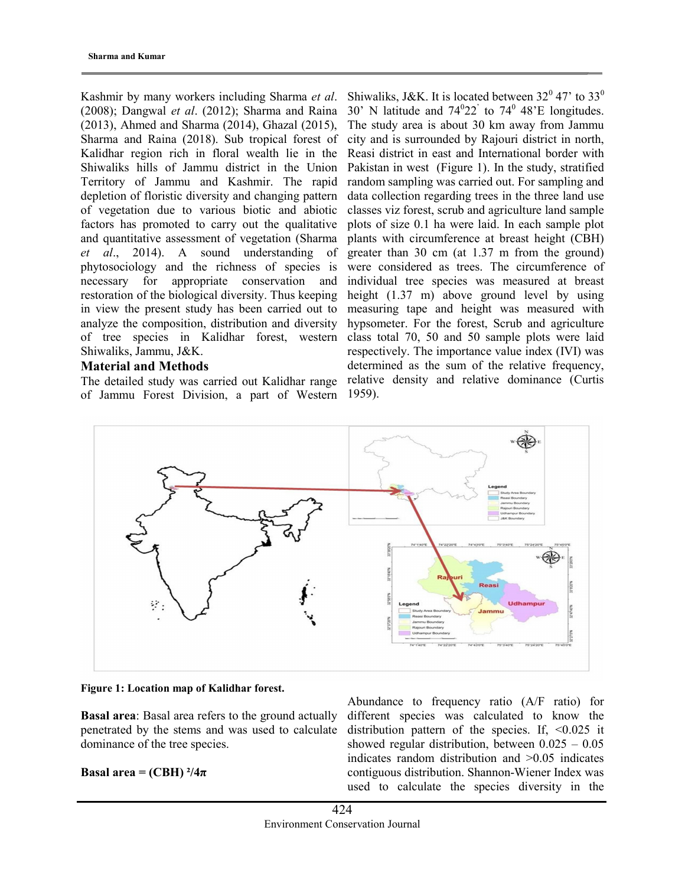Kashmir by many workers including Sharma et al. (2008); Dangwal et al. (2012); Sharma and Raina (2013), Ahmed and Sharma (2014), Ghazal (2015), Sharma and Raina (2018). Sub tropical forest of Kalidhar region rich in floral wealth lie in the Shiwaliks hills of Jammu district in the Union Territory of Jammu and Kashmir. The rapid depletion of floristic diversity and changing pattern of vegetation due to various biotic and abiotic factors has promoted to carry out the qualitative and quantitative assessment of vegetation (Sharma et al., 2014). A sound understanding of phytosociology and the richness of species is necessary for appropriate conservation and restoration of the biological diversity. Thus keeping in view the present study has been carried out to analyze the composition, distribution and diversity of tree species in Kalidhar forest, western Shiwaliks, Jammu, J&K.

#### Material and Methods

The detailed study was carried out Kalidhar range of Jammu Forest Division, a part of Western

Shiwaliks, J&K. It is located between  $32^0$  47' to  $33^0$ 30' N latitude and  $74^{\circ}22^{\circ}$  to  $74^{\circ}$  48'E longitudes. The study area is about 30 km away from Jammu city and is surrounded by Rajouri district in north, Reasi district in east and International border with Pakistan in west (Figure 1). In the study, stratified random sampling was carried out. For sampling and data collection regarding trees in the three land use classes viz forest, scrub and agriculture land sample plots of size 0.1 ha were laid. In each sample plot plants with circumference at breast height (CBH) greater than 30 cm (at 1.37 m from the ground) were considered as trees. The circumference of individual tree species was measured at breast height (1.37 m) above ground level by using measuring tape and height was measured with hypsometer. For the forest, Scrub and agriculture class total 70, 50 and 50 sample plots were laid respectively. The importance value index (IVI) was determined as the sum of the relative frequency, relative density and relative dominance (Curtis 1959).



Figure 1: Location map of Kalidhar forest.

Basal area: Basal area refers to the ground actually penetrated by the stems and was used to calculate dominance of the tree species.

Basal area = (CBH)  $^{2}/4\pi$ 

Abundance to frequency ratio (A/F ratio) for different species was calculated to know the distribution pattern of the species. If, <0.025 it showed regular distribution, between 0.025 – 0.05 indicates random distribution and >0.05 indicates contiguous distribution. Shannon-Wiener Index was used to calculate the species diversity in the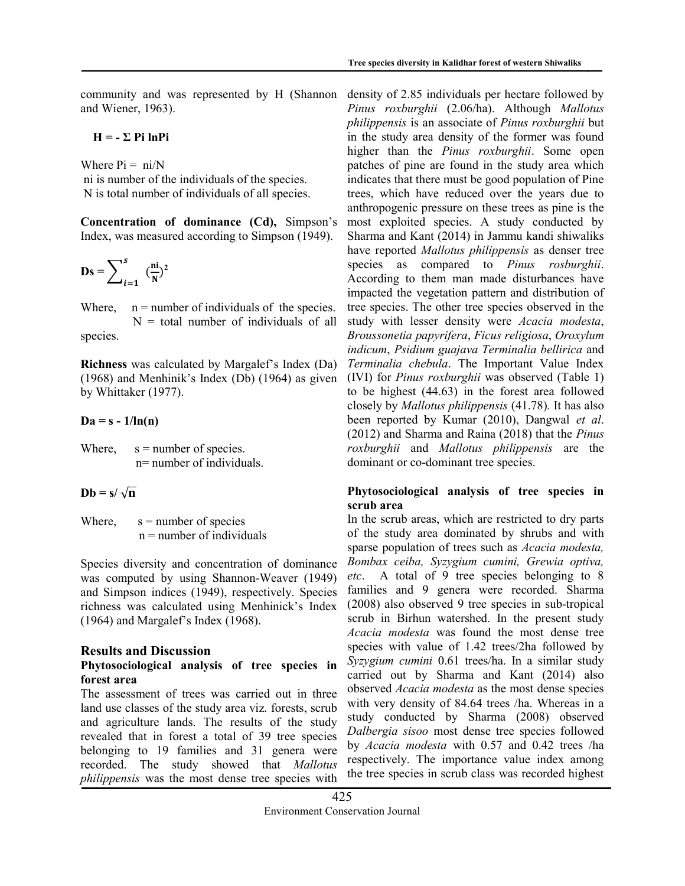community and was represented by H (Shannon and Wiener, 1963).

## $H = -\sum$  Pi lnPi

Where  $Pi = \frac{n}{N}$ 

 ni is number of the individuals of the species. N is total number of individuals of all species.

Concentration of dominance (Cd), Simpson's Index, was measured according to Simpson (1949).

$$
Ds = \sum_{i=1}^{S} \left(\frac{ni}{N}\right)^2
$$

Where,  $n =$  number of individuals of the species.  $N =$  total number of individuals of all species.

Richness was calculated by Margalef's Index (Da) (1968) and Menhinik's Index (Db) (1964) as given by Whittaker (1977).

## $Da = s - 1/ln(n)$

Where,  $s =$  number of species. n= number of individuals.

# Db = s/ $\sqrt{n}$

Where,  $s =$  number of species  $n =$  number of individuals

Species diversity and concentration of dominance was computed by using Shannon-Weaver (1949) and Simpson indices (1949), respectively. Species richness was calculated using Menhinick's Index (1964) and Margalef's Index (1968).

# Results and Discussion

#### Phytosociological analysis of tree species in forest area

The assessment of trees was carried out in three land use classes of the study area viz. forests, scrub and agriculture lands. The results of the study revealed that in forest a total of 39 tree species belonging to 19 families and 31 genera were recorded. The study showed that Mallotus philippensis was the most dense tree species with

density of 2.85 individuals per hectare followed by Pinus roxburghii (2.06/ha). Although Mallotus philippensis is an associate of Pinus roxburghii but in the study area density of the former was found higher than the Pinus roxburghii. Some open patches of pine are found in the study area which indicates that there must be good population of Pine trees, which have reduced over the years due to anthropogenic pressure on these trees as pine is the most exploited species. A study conducted by Sharma and Kant (2014) in Jammu kandi shiwaliks have reported Mallotus philippensis as denser tree species as compared to Pinus rosburghii. According to them man made disturbances have impacted the vegetation pattern and distribution of tree species. The other tree species observed in the study with lesser density were Acacia modesta, Broussonetia papyrifera, Ficus religiosa, Oroxylum indicum, Psidium guajava Terminalia bellirica and Terminalia chebula. The Important Value Index (IVI) for Pinus roxburghii was observed (Table 1) to be highest (44.63) in the forest area followed closely by Mallotus philippensis (41.78). It has also been reported by Kumar (2010), Dangwal et al. (2012) and Sharma and Raina (2018) that the Pinus roxburghii and Mallotus philippensis are the dominant or co-dominant tree species.

## Phytosociological analysis of tree species in scrub area

In the scrub areas, which are restricted to dry parts of the study area dominated by shrubs and with sparse population of trees such as Acacia modesta, Bombax ceiba, Syzygium cumini, Grewia optiva, etc. A total of 9 tree species belonging to 8 families and 9 genera were recorded. Sharma (2008) also observed 9 tree species in sub-tropical scrub in Birhun watershed. In the present study Acacia modesta was found the most dense tree species with value of 1.42 trees/2ha followed by Syzygium cumini 0.61 trees/ha. In a similar study carried out by Sharma and Kant (2014) also observed Acacia modesta as the most dense species with very density of 84.64 trees /ha. Whereas in a study conducted by Sharma (2008) observed Dalbergia sisoo most dense tree species followed by Acacia modesta with 0.57 and 0.42 trees /ha respectively. The importance value index among the tree species in scrub class was recorded highest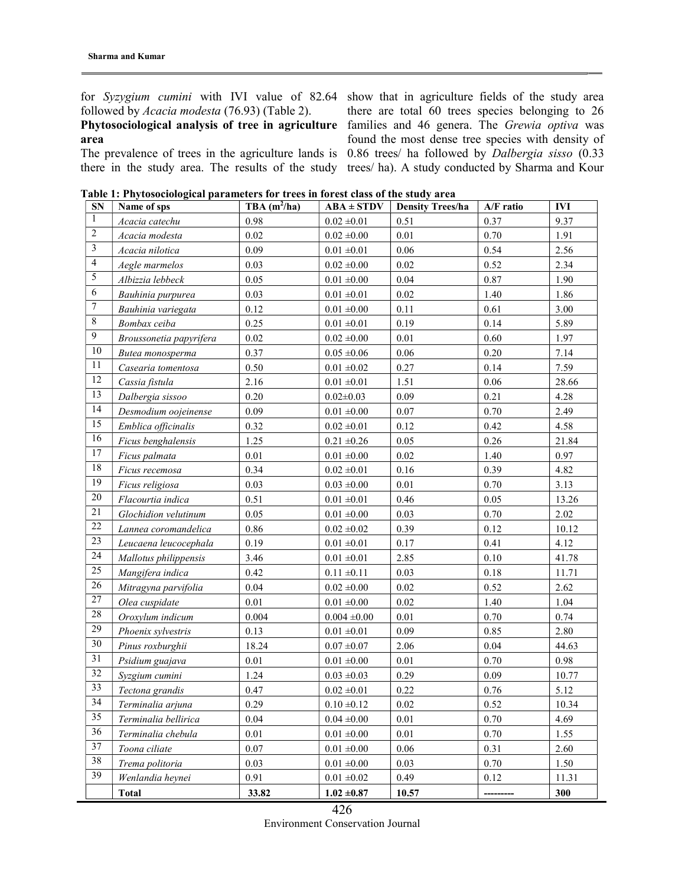for Syzygium cumini with IVI value of 82.64 show that in agriculture fields of the study area followed by Acacia modesta (76.93) (Table 2).

area

The prevalence of trees in the agriculture lands is

Phytosociological analysis of tree in agriculture families and 46 genera. The Grewia optiva was there in the study area. The results of the study trees/ ha). A study conducted by Sharma and Kour there are total 60 trees species belonging to 26 found the most dense tree species with density of 0.86 trees/ ha followed by Dalbergia sisso (0.33

Table 1: Phytosociological parameters for trees in forest class of the study area

| ${\bf SN}$              | Name of sps             | $TBA(m^2/ha)$ | $ABA \pm STDV$     | <b>Density Trees/ha</b> | A/F ratio | <b>IVI</b> |
|-------------------------|-------------------------|---------------|--------------------|-------------------------|-----------|------------|
| $\mathbf{1}$            | Acacia catechu          | 0.98          | $0.02 \pm 0.01$    | 0.51                    | 0.37      | 9.37       |
| $\sqrt{2}$              | Acacia modesta          | $0.02\,$      | $0.02\; {\pm}0.00$ | $0.01\,$                | 0.70      | 1.91       |
| $\overline{\mathbf{3}}$ | Acacia nilotica         | 0.09          | $0.01 \pm 0.01$    | 0.06                    | 0.54      | 2.56       |
| $\overline{4}$          | Aegle marmelos          | 0.03          | $0.02 \pm 0.00$    | $0.02\,$                | 0.52      | 2.34       |
| $\sqrt{5}$              | Albizzia lebbeck        | 0.05          | $0.01\;{\pm}0.00$  | 0.04                    | 0.87      | 1.90       |
| $\sqrt{6}$              | Bauhinia purpurea       | 0.03          | $0.01 \pm 0.01$    | $0.02\,$                | 1.40      | 1.86       |
| $\boldsymbol{7}$        | Bauhinia variegata      | 0.12          | $0.01 \; \pm 0.00$ | 0.11                    | 0.61      | 3.00       |
| $\,8\,$                 | Bombax ceiba            | 0.25          | $0.01 \pm 0.01$    | 0.19                    | 0.14      | 5.89       |
| $\mathfrak{g}$          | Broussonetia papyrifera | 0.02          | $0.02 \pm 0.00$    | 0.01                    | 0.60      | 1.97       |
| 10                      | Butea monosperma        | 0.37          | $0.05 \pm 0.06$    | 0.06                    | 0.20      | 7.14       |
| $\overline{11}$         | Casearia tomentosa      | 0.50          | $0.01 \pm 0.02$    | 0.27                    | 0.14      | 7.59       |
| $12\,$                  | Cassia fistula          | 2.16          | $0.01 \pm 0.01$    | 1.51                    | 0.06      | 28.66      |
| 13                      | Dalbergia sissoo        | 0.20          | $0.02 \pm 0.03$    | 0.09                    | 0.21      | 4.28       |
| 14                      | Desmodium oojeinense    | 0.09          | $0.01\; {\pm}0.00$ | $0.07\,$                | 0.70      | 2.49       |
| $\overline{15}$         | Emblica officinalis     | 0.32          | $0.02 \pm 0.01$    | 0.12                    | 0.42      | 4.58       |
| 16                      | Ficus benghalensis      | 1.25          | $0.21 \pm 0.26$    | 0.05                    | 0.26      | 21.84      |
| 17                      | Ficus palmata           | 0.01          | $0.01 \pm 0.00$    | $0.02\,$                | 1.40      | 0.97       |
| $18\,$                  | Ficus recemosa          | 0.34          | $0.02 \pm 0.01$    | 0.16                    | 0.39      | 4.82       |
| 19                      | Ficus religiosa         | 0.03          | $0.03 \pm 0.00$    | 0.01                    | 0.70      | 3.13       |
| $20\,$                  | Flacourtia indica       | 0.51          | $0.01 \pm 0.01$    | 0.46                    | 0.05      | 13.26      |
| 21                      | Glochidion velutinum    | 0.05          | $0.01 \pm 0.00$    | 0.03                    | 0.70      | 2.02       |
| $22\,$                  | Lannea coromandelica    | 0.86          | $0.02 \pm 0.02$    | 0.39                    | 0.12      | 10.12      |
| 23                      | Leucaena leucocephala   | 0.19          | $0.01 \pm 0.01$    | 0.17                    | 0.41      | 4.12       |
| 24                      | Mallotus philippensis   | 3.46          | $0.01 \pm 0.01$    | 2.85                    | $0.10\,$  | 41.78      |
| 25                      | Mangifera indica        | 0.42          | $0.11 \pm 0.11$    | 0.03                    | 0.18      | 11.71      |
| 26                      | Mitragyna parvifolia    | 0.04          | $0.02\pm0.00$      | $0.02\,$                | 0.52      | 2.62       |
| $\overline{27}$         | Olea cuspidate          | 0.01          | $0.01\;{\pm}0.00$  | $0.02\,$                | 1.40      | 1.04       |
| 28                      | Oroxylum indicum        | 0.004         | $0.004 \pm 0.00$   | 0.01                    | 0.70      | 0.74       |
| 29                      | Phoenix sylvestris      | 0.13          | $0.01 \pm 0.01$    | 0.09                    | 0.85      | 2.80       |
| 30                      | Pinus roxburghii        | 18.24         | $0.07 \pm 0.07$    | 2.06                    | 0.04      | 44.63      |
| 31                      | Psidium guajava         | 0.01          | $0.01 \pm 0.00$    | $0.01\,$                | 0.70      | 0.98       |
| $\overline{32}$         | Syzgium cumini          | 1.24          | $0.03 \pm 0.03$    | 0.29                    | 0.09      | 10.77      |
| $\overline{33}$         | Tectona grandis         | 0.47          | $0.02 \pm 0.01$    | 0.22                    | 0.76      | 5.12       |
| 34                      | Terminalia arjuna       | 0.29          | $0.10 \pm 0.12$    | 0.02                    | 0.52      | 10.34      |
| 35                      | Terminalia bellirica    | 0.04          | $0.04 \pm 0.00$    | 0.01                    | 0.70      | 4.69       |
| 36                      | Terminalia chebula      | 0.01          | $0.01 \pm 0.00$    | 0.01                    | 0.70      | 1.55       |
| 37                      | Toona ciliate           | $0.07\,$      | $0.01\; {\pm}0.00$ | 0.06                    | 0.31      | 2.60       |
| 38                      | Trema politoria         | 0.03          | $0.01\; {\pm}0.00$ | 0.03                    | 0.70      | 1.50       |
| 39                      | Wenlandia heynei        | 0.91          | $0.01 \pm 0.02$    | 0.49                    | 0.12      | 11.31      |
|                         | <b>Total</b>            | 33.82         | $1.02 \pm 0.87$    | 10.57                   |           | 300        |

Environment Conservation Journal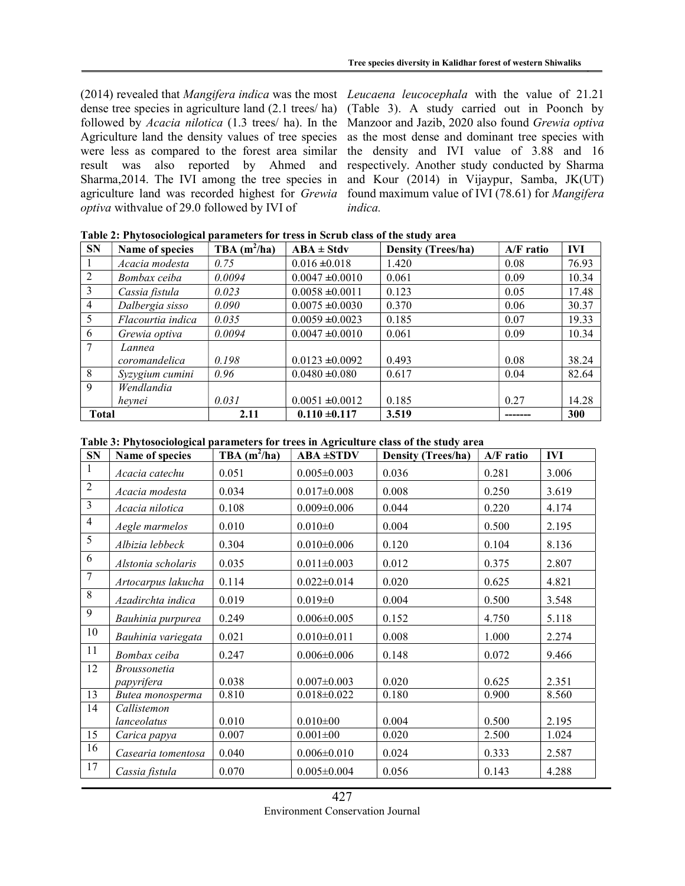(2014) revealed that Mangifera indica was the most dense tree species in agriculture land (2.1 trees/ ha) followed by Acacia nilotica (1.3 trees/ ha). In the Agriculture land the density values of tree species were less as compared to the forest area similar result was also reported by Ahmed and Sharma,2014. The IVI among the tree species in agriculture land was recorded highest for Grewia optiva withvalue of 29.0 followed by IVI of

Leucaena leucocephala with the value of 21.21 (Table 3). A study carried out in Poonch by Manzoor and Jazib, 2020 also found Grewia optiva as the most dense and dominant tree species with the density and IVI value of 3.88 and 16 respectively. Another study conducted by Sharma and Kour (2014) in Vijaypur, Samba, JK(UT) found maximum value of IVI (78.61) for Mangifera indica.

| <b>SN</b>    | Name of species   | TBA $(m^2/ha)$ | $ABA \pm Stdv$      | <b>Density (Trees/ha)</b> | $A/F$ ratio | <b>IVI</b> |
|--------------|-------------------|----------------|---------------------|---------------------------|-------------|------------|
|              | Acacia modesta    | 0.75           | $0.016 \pm 0.018$   | 1.420                     | 0.08        | 76.93      |
| 2            | Bombax ceiba      | 0.0094         | $0.0047 \pm 0.0010$ | 0.061                     | 0.09        | 10.34      |
| 3            | Cassia fistula    | 0.023          | $0.0058 \pm 0.0011$ | 0.123                     | 0.05        | 17.48      |
| 4            | Dalbergia sisso   | 0.090          | $0.0075 \pm 0.0030$ | 0.370                     | 0.06        | 30.37      |
| 5            | Flacourtia indica | 0.035          | $0.0059 \pm 0.0023$ | 0.185                     | 0.07        | 19.33      |
| 6            | Grewia optiva     | 0.0094         | $0.0047 \pm 0.0010$ | 0.061                     | 0.09        | 10.34      |
|              | Lannea            |                |                     |                           |             |            |
|              | coromandelica     | 0.198          | $0.0123 \pm 0.0092$ | 0.493                     | 0.08        | 38.24      |
| 8            | Syzygium cumini   | 0.96           | $0.0480 \pm 0.080$  | 0.617                     | 0.04        | 82.64      |
| 9            | Wendlandia        |                |                     |                           |             |            |
|              | hevnei            | 0.031          | $0.0051 \pm 0.0012$ | 0.185                     | 0.27        | 14.28      |
| <b>Total</b> |                   | 2.11           | $0.110 \pm 0.117$   | 3.519                     |             | 300        |

|  | Table 2: Phytosociological parameters for tress in Scrub class of the study area |
|--|----------------------------------------------------------------------------------|
|  |                                                                                  |

| Table 3: Phytosociological parameters for trees in Agriculture class of the study area |  |  |
|----------------------------------------------------------------------------------------|--|--|
|                                                                                        |  |  |

| <b>SN</b>      | Name of species                          | $\overline{\text{TBA (m}^2/\text{ha})}$ | <b>ABA ±STDV</b>  | <b>Density (Trees/ha)</b> | A/F ratio | <b>IVI</b> |
|----------------|------------------------------------------|-----------------------------------------|-------------------|---------------------------|-----------|------------|
| 1              | Acacia catechu                           | 0.051                                   | $0.005 \pm 0.003$ | 0.036                     | 0.281     | 3.006      |
| $\overline{2}$ | Acacia modesta                           | 0.034                                   | $0.017 \pm 0.008$ | 0.008                     | 0.250     | 3.619      |
| $\mathfrak{Z}$ | Acacia nilotica                          | 0.108                                   | $0.009 \pm 0.006$ | 0.044                     | 0.220     | 4.174      |
| $\overline{4}$ | Aegle marmelos                           | 0.010                                   | $0.010 + 0$       | 0.004                     | 0.500     | 2.195      |
| 5              | Albizia lebbeck                          | 0.304                                   | $0.010\pm0.006$   | 0.120                     | 0.104     | 8.136      |
| 6              | Alstonia scholaris                       | 0.035                                   | $0.011 \pm 0.003$ | 0.012                     | 0.375     | 2.807      |
| $\tau$         | Artocarpus lakucha                       | 0.114                                   | $0.022 \pm 0.014$ | 0.020                     | 0.625     | 4.821      |
| 8              | Azadirchta indica                        | 0.019                                   | $0.019 \pm 0$     | 0.004                     | 0.500     | 3.548      |
| 9              | Bauhinia purpurea                        | 0.249                                   | $0.006 \pm 0.005$ | 0.152                     | 4.750     | 5.118      |
| 10             | Bauhinia variegata                       | 0.021                                   | $0.010 \pm 0.011$ | 0.008                     | 1.000     | 2.274      |
| 11             | Bombax ceiba                             | 0.247                                   | $0.006 \pm 0.006$ | 0.148                     | 0.072     | 9.466      |
| 12             | <i><b>Broussonetia</b></i><br>papyrifera | 0.038                                   | $0.007 \pm 0.003$ | 0.020                     | 0.625     | 2.351      |
| 13             | Butea monosperma                         | 0.810                                   | $0.018 \pm 0.022$ | 0.180                     | 0.900     | 8.560      |
| 14             | Callistemon<br>lanceolatus               | 0.010                                   | $0.010 \pm 00$    | 0.004                     | 0.500     | 2.195      |
| 15             | Carica papya                             | 0.007                                   | $0.001\pm00$      | 0.020                     | 2.500     | 1.024      |
| 16             | Casearia tomentosa                       | 0.040                                   | $0.006 \pm 0.010$ | 0.024                     | 0.333     | 2.587      |
| 17             | Cassia fistula                           | 0.070                                   | $0.005 \pm 0.004$ | 0.056                     | 0.143     | 4.288      |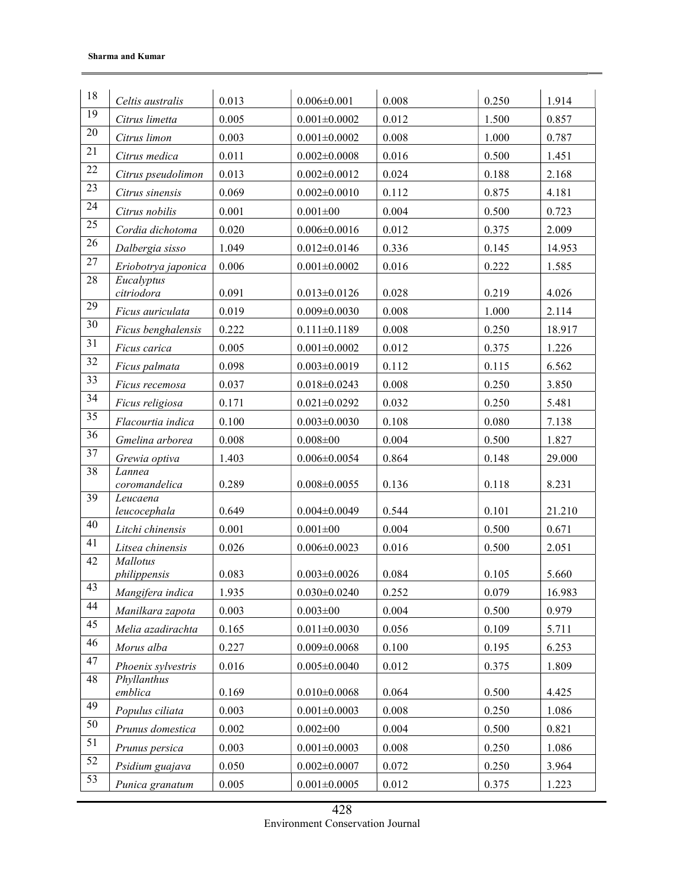| 18              | Celtis australis             | 0.013 | $0.006 \pm 0.001$  | 0.008 | 0.250 | 1.914  |
|-----------------|------------------------------|-------|--------------------|-------|-------|--------|
| $\overline{19}$ | Citrus limetta               | 0.005 | $0.001 \pm 0.0002$ | 0.012 | 1.500 | 0.857  |
| 20              | Citrus limon                 | 0.003 | $0.001 \pm 0.0002$ | 0.008 | 1.000 | 0.787  |
| 21              | Citrus medica                | 0.011 | $0.002 \pm 0.0008$ | 0.016 | 0.500 | 1.451  |
| 22              | Citrus pseudolimon           | 0.013 | $0.002 \pm 0.0012$ | 0.024 | 0.188 | 2.168  |
| 23              | Citrus sinensis              | 0.069 | $0.002 \pm 0.0010$ | 0.112 | 0.875 | 4.181  |
| $\overline{24}$ | Citrus nobilis               | 0.001 | $0.001 \pm 00$     | 0.004 | 0.500 | 0.723  |
| 25              | Cordia dichotoma             | 0.020 | $0.006 \pm 0.0016$ | 0.012 | 0.375 | 2.009  |
| 26              | Dalbergia sisso              | 1.049 | $0.012 \pm 0.0146$ | 0.336 | 0.145 | 14.953 |
| $\overline{27}$ | Eriobotrya japonica          | 0.006 | $0.001 \pm 0.0002$ | 0.016 | 0.222 | 1.585  |
| $\overline{28}$ | Eucalyptus                   |       |                    |       |       |        |
| 29              | citriodora                   | 0.091 | $0.013 \pm 0.0126$ | 0.028 | 0.219 | 4.026  |
| 30              | Ficus auriculata             | 0.019 | $0.009 \pm 0.0030$ | 0.008 | 1.000 | 2.114  |
| 31              | Ficus benghalensis           | 0.222 | $0.111 \pm 0.1189$ | 0.008 | 0.250 | 18.917 |
| 32              | Ficus carica                 | 0.005 | $0.001 \pm 0.0002$ | 0.012 | 0.375 | 1.226  |
| $\overline{33}$ | Ficus palmata                | 0.098 | $0.003 \pm 0.0019$ | 0.112 | 0.115 | 6.562  |
| 34              | Ficus recemosa               | 0.037 | $0.018 \pm 0.0243$ | 0.008 | 0.250 | 3.850  |
| 35              | Ficus religiosa              | 0.171 | $0.021 \pm 0.0292$ | 0.032 | 0.250 | 5.481  |
| $\overline{36}$ | Flacourtia indica            | 0.100 | $0.003 \pm 0.0030$ | 0.108 | 0.080 | 7.138  |
| 37              | Gmelina arborea              | 0.008 | $0.008 \pm 00$     | 0.004 | 0.500 | 1.827  |
| $\overline{38}$ | Grewia optiva<br>Lannea      | 1.403 | $0.006 \pm 0.0054$ | 0.864 | 0.148 | 29.000 |
|                 | coromandelica                | 0.289 | $0.008 \pm 0.0055$ | 0.136 | 0.118 | 8.231  |
| $\overline{39}$ | Leucaena                     |       |                    |       |       |        |
| 40              | leucocephala                 | 0.649 | $0.004 \pm 0.0049$ | 0.544 | 0.101 | 21.210 |
| 41              | Litchi chinensis             | 0.001 | $0.001 \pm 00$     | 0.004 | 0.500 | 0.671  |
| 42              | Litsea chinensis<br>Mallotus | 0.026 | $0.006 \pm 0.0023$ | 0.016 | 0.500 | 2.051  |
|                 | philippensis                 | 0.083 | $0.003 \pm 0.0026$ | 0.084 | 0.105 | 5.660  |
| 43              | Mangifera indica             | 1.935 | $0.030 \pm 0.0240$ | 0.252 | 0.079 | 16.983 |
| 44              | Manilkara zapota             | 0.003 | $0.003 \pm 00$     | 0.004 | 0.500 | 0.979  |
| 45              | Melia azadirachta            | 0.165 | $0.011 \pm 0.0030$ | 0.056 | 0.109 | 5.711  |
| 46              | Morus alba                   | 0.227 | $0.009 \pm 0.0068$ | 0.100 | 0.195 | 6.253  |
| 47              | Phoenix sylvestris           | 0.016 | $0.005 \pm 0.0040$ | 0.012 | 0.375 | 1.809  |
| 48              | Phyllanthus<br>emblica       | 0.169 | $0.010\pm0.0068$   | 0.064 | 0.500 | 4.425  |
| 49              | Populus ciliata              | 0.003 | $0.001 \pm 0.0003$ | 0.008 | 0.250 | 1.086  |
| 50              | Prunus domestica             | 0.002 | $0.002 \pm 00$     | 0.004 | 0.500 | 0.821  |
| 51              | Prunus persica               | 0.003 | $0.001 \pm 0.0003$ | 0.008 | 0.250 | 1.086  |
| 52              | Psidium guajava              | 0.050 | $0.002 \pm 0.0007$ | 0.072 | 0.250 | 3.964  |
| 53              |                              | 0.005 | $0.001 \pm 0.0005$ | 0.012 | 0.375 | 1.223  |
|                 | Punica granatum              |       |                    |       |       |        |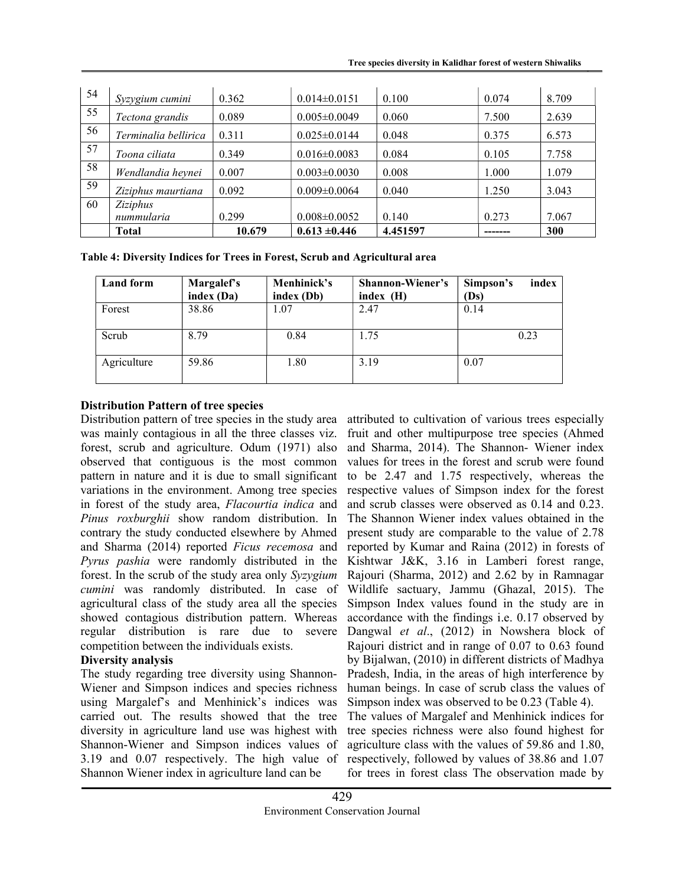| 54 | Syzygium cumini        | 0.362  | $0.014 \pm 0.0151$ | 0.100    | 0.074 | 8.709 |
|----|------------------------|--------|--------------------|----------|-------|-------|
| 55 | Tectona grandis        | 0.089  | $0.005 \pm 0.0049$ | 0.060    | 7.500 | 2.639 |
| 56 | Terminalia bellirica   | 0.311  | $0.025 \pm 0.0144$ | 0.048    | 0.375 | 6.573 |
| 57 | Toona ciliata          | 0.349  | $0.016 \pm 0.0083$ | 0.084    | 0.105 | 7.758 |
| 58 | Wendlandia heynei      | 0.007  | $0.003 \pm 0.0030$ | 0.008    | 1.000 | 1.079 |
| 59 | Ziziphus maurtiana     | 0.092  | $0.009 \pm 0.0064$ | 0.040    | 1.250 | 3.043 |
| 60 | Ziziphus<br>nummularia | 0.299  | $0.008 \pm 0.0052$ | 0.140    | 0.273 | 7.067 |
|    | Total                  | 10.679 | $0.613 \pm 0.446$  | 4.451597 |       | 300   |

Table 4: Diversity Indices for Trees in Forest, Scrub and Agricultural area

| <b>Land form</b> | Margalef's<br>index (Da) | Menhinick's<br>index (Db) | <b>Shannon-Wiener's</b><br>index $(H)$ | index<br>Simpson's<br>(Ds) |
|------------------|--------------------------|---------------------------|----------------------------------------|----------------------------|
| Forest           | 38.86                    | 1.07                      | 2.47                                   | 0.14                       |
| Scrub            | 8.79                     | 0.84                      | 1.75                                   | 0.23                       |
| Agriculture      | 59.86                    | 1.80                      | 3.19                                   | 0.07                       |

## Distribution Pattern of tree species

Distribution pattern of tree species in the study area was mainly contagious in all the three classes viz. forest, scrub and agriculture. Odum (1971) also observed that contiguous is the most common pattern in nature and it is due to small significant variations in the environment. Among tree species in forest of the study area, Flacourtia indica and Pinus roxburghii show random distribution. In contrary the study conducted elsewhere by Ahmed and Sharma (2014) reported Ficus recemosa and Pyrus pashia were randomly distributed in the forest. In the scrub of the study area only Syzygium cumini was randomly distributed. In case of agricultural class of the study area all the species showed contagious distribution pattern. Whereas regular distribution is rare due to severe competition between the individuals exists.

# Diversity analysis

The study regarding tree diversity using Shannon-Wiener and Simpson indices and species richness using Margalef's and Menhinick's indices was carried out. The results showed that the tree diversity in agriculture land use was highest with Shannon-Wiener and Simpson indices values of 3.19 and 0.07 respectively. The high value of Shannon Wiener index in agriculture land can be

attributed to cultivation of various trees especially fruit and other multipurpose tree species (Ahmed and Sharma, 2014). The Shannon- Wiener index values for trees in the forest and scrub were found to be 2.47 and 1.75 respectively, whereas the respective values of Simpson index for the forest and scrub classes were observed as 0.14 and 0.23. The Shannon Wiener index values obtained in the present study are comparable to the value of 2.78 reported by Kumar and Raina (2012) in forests of Kishtwar J&K, 3.16 in Lamberi forest range, Rajouri (Sharma, 2012) and 2.62 by in Ramnagar Wildlife sactuary, Jammu (Ghazal, 2015). The Simpson Index values found in the study are in accordance with the findings i.e. 0.17 observed by Dangwal et al., (2012) in Nowshera block of Rajouri district and in range of 0.07 to 0.63 found by Bijalwan, (2010) in different districts of Madhya Pradesh, India, in the areas of high interference by human beings. In case of scrub class the values of Simpson index was observed to be 0.23 (Table 4). The values of Margalef and Menhinick indices for tree species richness were also found highest for agriculture class with the values of 59.86 and 1.80, respectively, followed by values of 38.86 and 1.07 for trees in forest class The observation made by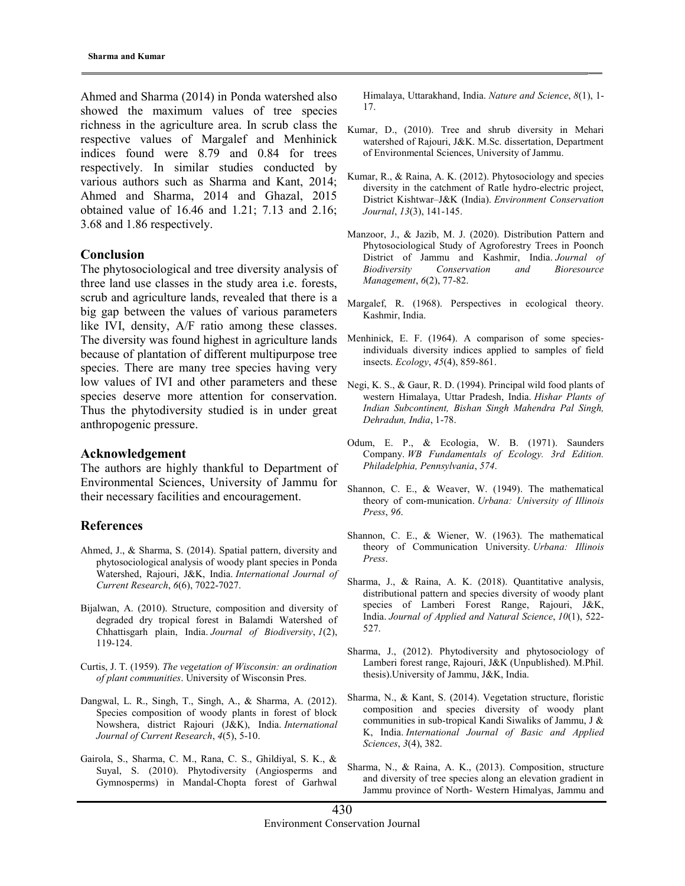Ahmed and Sharma (2014) in Ponda watershed also showed the maximum values of tree species richness in the agriculture area. In scrub class the respective values of Margalef and Menhinick indices found were 8.79 and 0.84 for trees respectively. In similar studies conducted by various authors such as Sharma and Kant, 2014; Ahmed and Sharma, 2014 and Ghazal, 2015 obtained value of 16.46 and 1.21; 7.13 and 2.16; 3.68 and 1.86 respectively.

#### Conclusion

The phytosociological and tree diversity analysis of three land use classes in the study area i.e. forests, scrub and agriculture lands, revealed that there is a big gap between the values of various parameters like IVI, density, A/F ratio among these classes. The diversity was found highest in agriculture lands because of plantation of different multipurpose tree species. There are many tree species having very low values of IVI and other parameters and these species deserve more attention for conservation. Thus the phytodiversity studied is in under great anthropogenic pressure.

#### Acknowledgement

The authors are highly thankful to Department of Environmental Sciences, University of Jammu for their necessary facilities and encouragement.

#### References

- Ahmed, J., & Sharma, S. (2014). Spatial pattern, diversity and phytosociological analysis of woody plant species in Ponda Watershed, Rajouri, J&K, India. International Journal of Current Research, 6(6), 7022-7027.
- Bijalwan, A. (2010). Structure, composition and diversity of degraded dry tropical forest in Balamdi Watershed of Chhattisgarh plain, India. Journal of Biodiversity, 1(2), 119-124.
- Curtis, J. T. (1959). The vegetation of Wisconsin: an ordination of plant communities. University of Wisconsin Pres.
- Dangwal, L. R., Singh, T., Singh, A., & Sharma, A. (2012). Species composition of woody plants in forest of block Nowshera, district Rajouri (J&K), India. International Journal of Current Research, 4(5), 5-10.
- Gairola, S., Sharma, C. M., Rana, C. S., Ghildiyal, S. K., & Suyal, S. (2010). Phytodiversity (Angiosperms and Gymnosperms) in Mandal-Chopta forest of Garhwal

Himalaya, Uttarakhand, India. Nature and Science, 8(1), 1- 17.

- Kumar, D., (2010). Tree and shrub diversity in Mehari watershed of Rajouri, J&K. M.Sc. dissertation, Department of Environmental Sciences, University of Jammu.
- Kumar, R., & Raina, A. K. (2012). Phytosociology and species diversity in the catchment of Ratle hydro-electric project, District Kishtwar–J&K (India). Environment Conservation Journal, 13(3), 141-145.
- Manzoor, J., & Jazib, M. J. (2020). Distribution Pattern and Phytosociological Study of Agroforestry Trees in Poonch District of Jammu and Kashmir, India. Journal of Biodiversity Conservation and Bioresource Management, 6(2), 77-82.
- Margalef, R. (1968). Perspectives in ecological theory. Kashmir, India.
- Menhinick, E. F. (1964). A comparison of some speciesindividuals diversity indices applied to samples of field insects. Ecology, 45(4), 859-861.
- Negi, K. S., & Gaur, R. D. (1994). Principal wild food plants of western Himalaya, Uttar Pradesh, India. Hishar Plants of Indian Subcontinent, Bishan Singh Mahendra Pal Singh, Dehradun, India, 1-78.
- Odum, E. P., & Ecologia, W. B. (1971). Saunders Company. WB Fundamentals of Ecology. 3rd Edition. Philadelphia, Pennsylvania, 574.
- Shannon, C. E., & Weaver, W. (1949). The mathematical theory of com-munication. Urbana: University of Illinois Press, 96.
- Shannon, C. E., & Wiener, W. (1963). The mathematical theory of Communication University. Urbana: Illinois Press.
- Sharma, J., & Raina, A. K. (2018). Quantitative analysis, distributional pattern and species diversity of woody plant species of Lamberi Forest Range, Rajouri, J&K, India. Journal of Applied and Natural Science, 10(1), 522- 527.
- Sharma, J., (2012). Phytodiversity and phytosociology of Lamberi forest range, Rajouri, J&K (Unpublished). M.Phil. thesis).University of Jammu, J&K, India.
- Sharma, N., & Kant, S. (2014). Vegetation structure, floristic composition and species diversity of woody plant communities in sub-tropical Kandi Siwaliks of Jammu, J & K, India. International Journal of Basic and Applied Sciences, 3(4), 382.
- Sharma, N., & Raina, A. K., (2013). Composition, structure and diversity of tree species along an elevation gradient in Jammu province of North- Western Himalyas, Jammu and